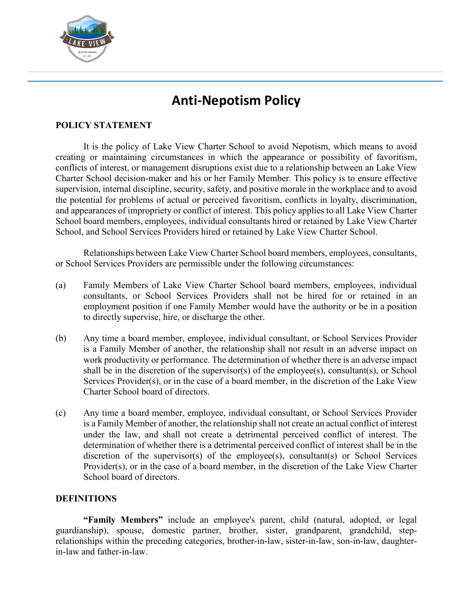

# **Anti-Nepotism Policy**

## **POLICY STATEMENT**

It is the policy of Lake View Charter School to avoid Nepotism, which means to avoid creating or maintaining circumstances in which the appearance or possibility of favoritism, conflicts of interest, or management disruptions exist due to a relationship between an Lake View Charter School decision-maker and his or her Family Member. This policy is to ensure effective supervision, internal discipline, security, safety, and positive morale in the workplace and to avoid the potential for problems of actual or perceived favoritism, conflicts in loyalty, discrimination, and appearances of impropriety or conflict of interest. This policy applies to all Lake View Charter School board members, employees, individual consultants hired or retained by Lake View Charter School, and School Services Providers hired or retained by Lake View Charter School.

Relationships between Lake View Charter School board members, employees, consultants, or School Services Providers are permissible under the following circumstances:

- (a) Family Members of Lake View Charter School board members, employees, individual consultants, or School Services Providers shall not be hired for or retained in an employment position if one Family Member would have the authority or be in a position to directly supervise, hire, or discharge the other.
- (b) Any time a board member, employee, individual consultant, or School Services Provider is a Family Member of another, the relationship shall not result in an adverse impact on work productivity or performance. The determination of whether there is an adverse impact shall be in the discretion of the supervisor(s) of the employee(s), consultant(s), or School Services Provider(s), or in the case of a board member, in the discretion of the Lake View Charter School board of directors.
- (c) Any time a board member, employee, individual consultant, or School Services Provider is a Family Member of another, the relationship shall not create an actual conflict of interest under the law, and shall not create a detrimental perceived conflict of interest. The determination of whether there is a detrimental perceived conflict of interest shall be in the discretion of the supervisor(s) of the employee(s), consultant(s) or School Services Provider(s), or in the case of a board member, in the discretion of the Lake View Charter School board of directors.

## **DEFINITIONS**

**"Family Members"** include an employee's parent, child (natural, adopted, or legal guardianship), spouse, domestic partner, brother, sister, grandparent, grandchild, steprelationships within the preceding categories, brother-in-law, sister-in-law, son-in-law, daughterin-law and father-in-law.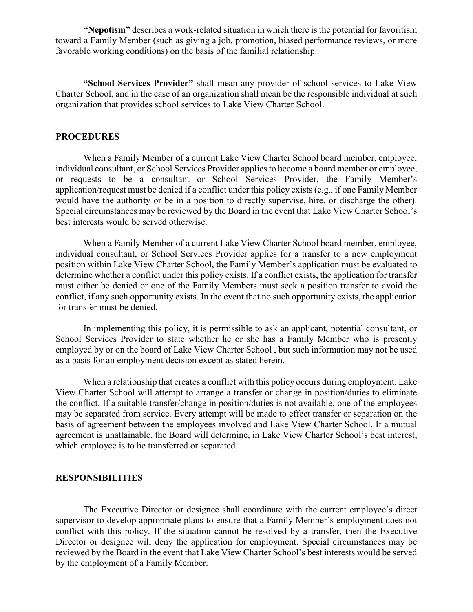**"Nepotism"** describes a work-related situation in which there is the potential for favoritism toward a Family Member (such as giving a job, promotion, biased performance reviews, or more favorable working conditions) on the basis of the familial relationship.

**"School Services Provider"** shall mean any provider of school services to Lake View Charter School, and in the case of an organization shall mean be the responsible individual at such organization that provides school services to Lake View Charter School.

#### **PROCEDURES**

When a Family Member of a current Lake View Charter School board member, employee, individual consultant, or School Services Provider applies to become a board member or employee, or requests to be a consultant or School Services Provider, the Family Member's application/request must be denied if a conflict under this policy exists (e.g., if one Family Member would have the authority or be in a position to directly supervise, hire, or discharge the other). Special circumstances may be reviewed by the Board in the event that Lake View Charter School's best interests would be served otherwise.

When a Family Member of a current Lake View Charter School board member, employee, individual consultant, or School Services Provider applies for a transfer to a new employment position within Lake View Charter School, the Family Member's application must be evaluated to determine whether a conflict under this policy exists. If a conflict exists, the application for transfer must either be denied or one of the Family Members must seek a position transfer to avoid the conflict, if any such opportunity exists. In the event that no such opportunity exists, the application for transfer must be denied.

In implementing this policy, it is permissible to ask an applicant, potential consultant, or School Services Provider to state whether he or she has a Family Member who is presently employed by or on the board of Lake View Charter School , but such information may not be used as a basis for an employment decision except as stated herein.

When a relationship that creates a conflict with this policy occurs during employment, Lake View Charter School will attempt to arrange a transfer or change in position/duties to eliminate the conflict. If a suitable transfer/change in position/duties is not available, one of the employees may be separated from service. Every attempt will be made to effect transfer or separation on the basis of agreement between the employees involved and Lake View Charter School. If a mutual agreement is unattainable, the Board will determine, in Lake View Charter School's best interest, which employee is to be transferred or separated.

#### **RESPONSIBILITIES**

The Executive Director or designee shall coordinate with the current employee's direct supervisor to develop appropriate plans to ensure that a Family Member's employment does not conflict with this policy. If the situation cannot be resolved by a transfer, then the Executive Director or designee will deny the application for employment. Special circumstances may be reviewed by the Board in the event that Lake View Charter School's best interests would be served by the employment of a Family Member.